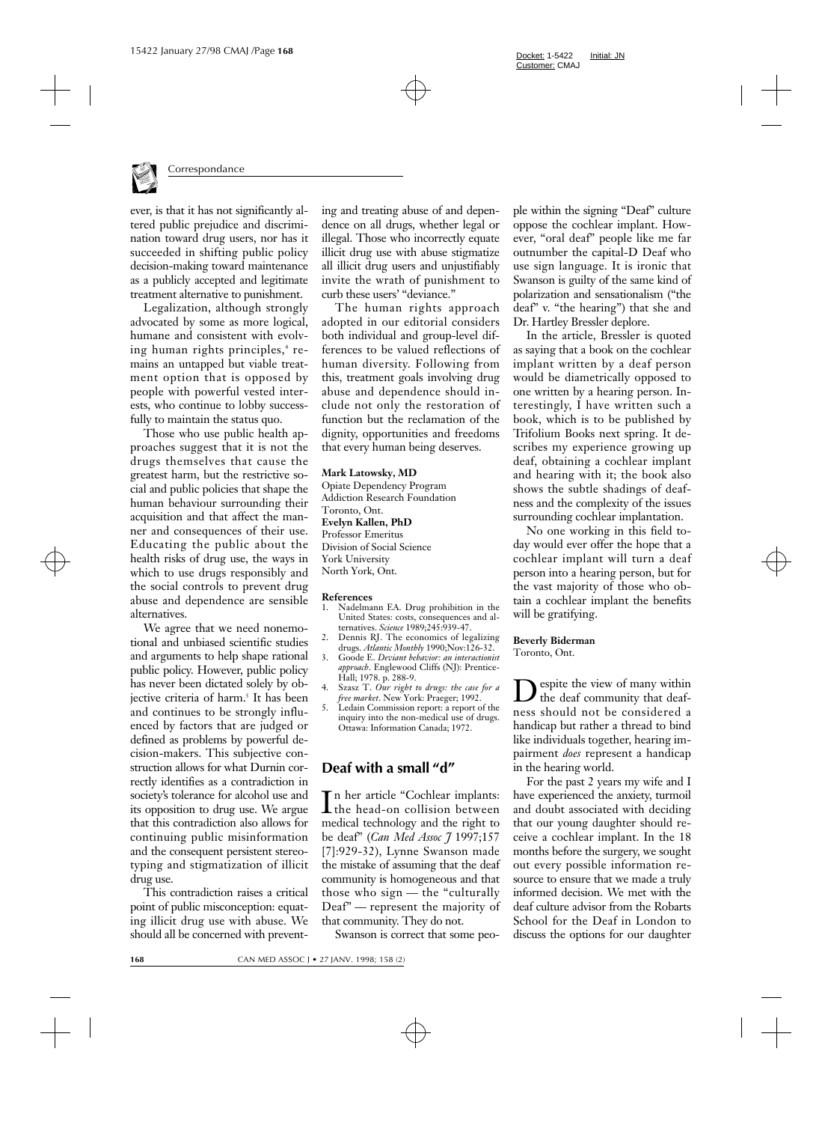

ever, is that it has not significantly altered public prejudice and discrimination toward drug users, nor has it succeeded in shifting public policy decision-making toward maintenance as a publicly accepted and legitimate treatment alternative to punishment.

Legalization, although strongly advocated by some as more logical, humane and consistent with evolving human rights principles,<sup>4</sup> remains an untapped but viable treatment option that is opposed by people with powerful vested interests, who continue to lobby successfully to maintain the status quo.

Those who use public health approaches suggest that it is not the drugs themselves that cause the greatest harm, but the restrictive social and public policies that shape the human behaviour surrounding their acquisition and that affect the manner and consequences of their use. Educating the public about the health risks of drug use, the ways in which to use drugs responsibly and the social controls to prevent drug abuse and dependence are sensible alternatives.

We agree that we need nonemotional and unbiased scientific studies and arguments to help shape rational public policy. However, public policy has never been dictated solely by objective criteria of harm.<sup>5</sup> It has been and continues to be strongly influenced by factors that are judged or defined as problems by powerful decision-makers. This subjective construction allows for what Durnin correctly identifies as a contradiction in society's tolerance for alcohol use and its opposition to drug use. We argue that this contradiction also allows for continuing public misinformation and the consequent persistent stereotyping and stigmatization of illicit drug use.

This contradiction raises a critical point of public misconception: equating illicit drug use with abuse. We should all be concerned with preventing and treating abuse of and dependence on all drugs, whether legal or illegal. Those who incorrectly equate illicit drug use with abuse stigmatize all illicit drug users and unjustifiably invite the wrath of punishment to curb these users' "deviance."

The human rights approach adopted in our editorial considers both individual and group-level differences to be valued reflections of human diversity. Following from this, treatment goals involving drug abuse and dependence should include not only the restoration of function but the reclamation of the dignity, opportunities and freedoms that every human being deserves.

## **Mark Latowsky, MD**

Opiate Dependency Program Addiction Research Foundation Toronto, Ont. **Evelyn Kallen, PhD** Professor Emeritus Division of Social Science York University North York, Ont.

## **References**

- 1. Nadelmann EA. Drug prohibition in the United States: costs, consequences and alternatives. *Science* 1989;245:939-47.
- 2. Dennis RJ. The economics of legalizing drugs. *Atlantic Monthly* 1990;Nov:126-32.
- 3. Goode E. *Deviant behavior: an interactionist approach*. Englewood Cliffs (NJ): Prentice-Hall; 1978. p. 288-9.
- 4. Szasz T. *Our right to drugs: the case for a free market*. New York: Praeger; 1992.
- 5. Ledain Commission report: a report of the inquiry into the non-medical use of drugs. Ottawa: Information Canada; 1972.

## **Deaf with a small "d"**

In her article "Cochlear implants:<br>the head-on collision between the head-on collision between medical technology and the right to be deaf" (*Can Med Assoc J* 1997;157 [7]:929-32), Lynne Swanson made the mistake of assuming that the deaf community is homogeneous and that those who sign — the "culturally Deaf" — represent the majority of that community. They do not.

Swanson is correct that some peo-

ple within the signing "Deaf" culture oppose the cochlear implant. However, "oral deaf" people like me far outnumber the capital-D Deaf who use sign language. It is ironic that Swanson is guilty of the same kind of polarization and sensationalism ("the deaf" v. "the hearing") that she and Dr. Hartley Bressler deplore.

In the article, Bressler is quoted as saying that a book on the cochlear implant written by a deaf person would be diametrically opposed to one written by a hearing person. Interestingly, I have written such a book, which is to be published by Trifolium Books next spring. It describes my experience growing up deaf, obtaining a cochlear implant and hearing with it; the book also shows the subtle shadings of deafness and the complexity of the issues surrounding cochlear implantation.

No one working in this field today would ever offer the hope that a cochlear implant will turn a deaf person into a hearing person, but for the vast majority of those who obtain a cochlear implant the benefits will be gratifying.

## **Beverly Biderman** Toronto, Ont.

espite the view of many within the deaf community that deafness should not be considered a handicap but rather a thread to bind like individuals together, hearing impairment *does* represent a handicap in the hearing world.

For the past 2 years my wife and I have experienced the anxiety, turmoil and doubt associated with deciding that our young daughter should receive a cochlear implant. In the 18 months before the surgery, we sought out every possible information resource to ensure that we made a truly informed decision. We met with the deaf culture advisor from the Robarts School for the Deaf in London to discuss the options for our daughter